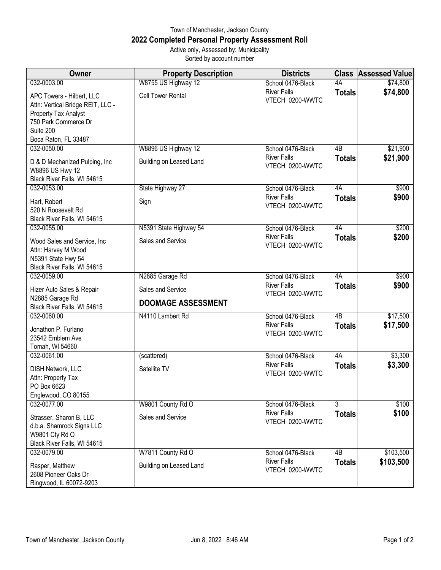## Town of Manchester, Jackson County **2022 Completed Personal Property Assessment Roll** Active only, Assessed by: Municipality

Sorted by account number

| Owner                                                                                                                                               | <b>Property Description</b>                    | <b>Districts</b>                      |                 | <b>Class Assessed Value</b> |
|-----------------------------------------------------------------------------------------------------------------------------------------------------|------------------------------------------------|---------------------------------------|-----------------|-----------------------------|
| 032-0003.00                                                                                                                                         | W8755 US Highway 12                            | School 0476-Black                     | 4A              | \$74,800                    |
| APC Towers - Hilbert, LLC<br>Attn: Vertical Bridge REIT, LLC -<br>Property Tax Analyst<br>750 Park Commerce Dr<br>Suite 200<br>Boca Raton, FL 33487 | <b>Cell Tower Rental</b>                       | <b>River Falls</b><br>VTECH 0200-WWTC | <b>Totals</b>   | \$74,800                    |
| 032-0050.00                                                                                                                                         | W8896 US Highway 12                            | School 0476-Black                     | $\overline{AB}$ | \$21,900                    |
| D & D Mechanized Pulping, Inc<br>W8896 US Hwy 12<br>Black River Falls, WI 54615                                                                     | Building on Leased Land                        | <b>River Falls</b><br>VTECH 0200-WWTC | <b>Totals</b>   | \$21,900                    |
| 032-0053.00                                                                                                                                         | State Highway 27                               | School 0476-Black                     | 4A              | \$900                       |
| Hart, Robert<br>520 N Roosevelt Rd<br>Black River Falls, WI 54615                                                                                   | Sign                                           | <b>River Falls</b><br>VTECH 0200-WWTC | <b>Totals</b>   | \$900                       |
| 032-0055.00                                                                                                                                         | N5391 State Highway 54                         | School 0476-Black                     | 4A              | \$200                       |
| Wood Sales and Service, Inc.<br>Attn: Harvey M Wood<br>N5391 State Hwy 54<br>Black River Falls, WI 54615                                            | Sales and Service                              | <b>River Falls</b><br>VTECH 0200-WWTC | <b>Totals</b>   | \$200                       |
| 032-0059.00                                                                                                                                         | N2885 Garage Rd                                | School 0476-Black                     | 4A              | \$900                       |
| Hizer Auto Sales & Repair<br>N2885 Garage Rd<br>Black River Falls, WI 54615                                                                         | Sales and Service<br><b>DOOMAGE ASSESSMENT</b> | <b>River Falls</b><br>VTECH 0200-WWTC | <b>Totals</b>   | \$900                       |
| 032-0060.00                                                                                                                                         | N4110 Lambert Rd                               | School 0476-Black                     | $\overline{AB}$ | \$17,500                    |
| Jonathon P. Furlano<br>23542 Emblem Ave<br>Tomah, WI 54660                                                                                          |                                                | <b>River Falls</b><br>VTECH 0200-WWTC | <b>Totals</b>   | \$17,500                    |
| 032-0061.00                                                                                                                                         | (scattered)                                    | School 0476-Black                     | 4A              | \$3,300                     |
| <b>DISH Network, LLC</b><br>Attn: Property Tax<br>PO Box 6623<br>Englewood, CO 80155                                                                | Satellite TV                                   | <b>River Falls</b><br>VTECH 0200-WWTC | <b>Totals</b>   | \$3,300                     |
| 032-0077.00                                                                                                                                         | W9801 County Rd O                              | School 0476-Black                     | $\overline{3}$  | \$100                       |
| Strasser, Sharon B, LLC<br>d.b.a. Shamrock Signs LLC<br>W9801 Cty Rd O<br>Black River Falls, WI 54615                                               | Sales and Service                              | <b>River Falls</b><br>VTECH 0200-WWTC | <b>Totals</b>   | \$100                       |
| 032-0079.00                                                                                                                                         | W7811 County Rd O                              | School 0476-Black                     | 4B              | \$103,500                   |
| Rasper, Matthew<br>2608 Pioneer Oaks Dr<br>Ringwood, IL 60072-9203                                                                                  | Building on Leased Land                        | <b>River Falls</b><br>VTECH 0200-WWTC | <b>Totals</b>   | \$103,500                   |